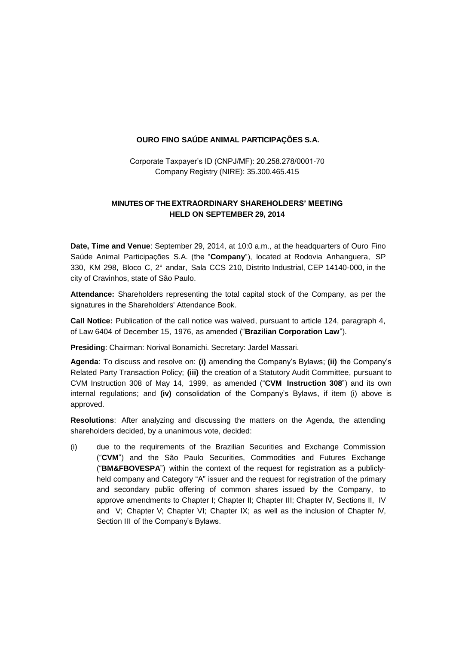#### **OURO FINO SAÚDE ANIMAL PARTICIPAÇÕES S.A.**

Corporate Taxpayer's ID (CNPJ/MF): 20.258.278/0001-70 Company Registry (NIRE): 35.300.465.415

#### **MINUTES OF THE EXTRAORDINARY SHAREHOLDERS' MEETING HELD ON SEPTEMBER 29, 2014**

**Date, Time and Venue**: September 29, 2014, at 10:0 a.m., at the headquarters of Ouro Fino Saúde Animal Participações S.A. (the "**Company**"), located at Rodovia Anhanguera, SP 330, KM 298, Bloco C, 2° andar, Sala CCS 210, Distrito Industrial, CEP 14140-000, in the city of Cravinhos, state of São Paulo.

**Attendance:** Shareholders representing the total capital stock of the Company, as per the signatures in the Shareholders' Attendance Book.

**Call Notice:** Publication of the call notice was waived, pursuant to article 124, paragraph 4, of Law 6404 of December 15, 1976, as amended ("**Brazilian Corporation Law**").

**Presiding**: Chairman: Norival Bonamichi. Secretary: Jardel Massari.

**Agenda**: To discuss and resolve on: **(i)** amending the Company's Bylaws; **(ii)** the Company's Related Party Transaction Policy; **(iii)** the creation of a Statutory Audit Committee, pursuant to CVM Instruction 308 of May 14, 1999, as amended ("**CVM Instruction 308**") and its own internal regulations; and **(iv)** consolidation of the Company's Bylaws, if item (i) above is approved.

**Resolutions**: After analyzing and discussing the matters on the Agenda, the attending shareholders decided, by a unanimous vote, decided:

(i) due to the requirements of the Brazilian Securities and Exchange Commission ("**CVM**") and the São Paulo Securities, Commodities and Futures Exchange ("**BM&FBOVESPA**") within the context of the request for registration as a publiclyheld company and Category "A" issuer and the request for registration of the primary and secondary public offering of common shares issued by the Company, to approve amendments to Chapter I; Chapter II; Chapter III; Chapter IV, Sections II, IV and V; Chapter V; Chapter VI; Chapter IX; as well as the inclusion of Chapter IV, Section III of the Company's Bylaws.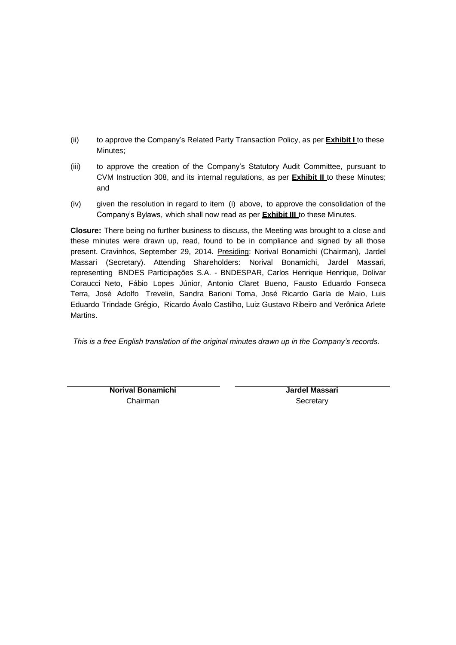- (ii) to approve the Company's Related Party Transaction Policy, as per **Exhibit I** to these Minutes;
- (iii) to approve the creation of the Company's Statutory Audit Committee, pursuant to CVM Instruction 308, and its internal regulations, as per **Exhibit II** to these Minutes; and
- (iv) given the resolution in regard to item (i) above, to approve the consolidation of the Company's Bylaws, which shall now read as per **Exhibit III** to these Minutes.

**Closure:** There being no further business to discuss, the Meeting was brought to a close and these minutes were drawn up, read, found to be in compliance and signed by all those present. Cravinhos, September 29, 2014. Presiding: Norival Bonamichi (Chairman), Jardel Massari (Secretary). Attending Shareholders: Norival Bonamichi, Jardel Massari, representing BNDES Participações S.A. - BNDESPAR, Carlos Henrique Henrique, Dolivar Coraucci Neto, Fábio Lopes Júnior, Antonio Claret Bueno, Fausto Eduardo Fonseca Terra, José Adolfo Trevelin, Sandra Barioni Toma, José Ricardo Garla de Maio, Luis Eduardo Trindade Grégio, Ricardo Ávalo Castilho, Luiz Gustavo Ribeiro and Verônica Arlete Martins.

*This is a free English translation of the original minutes drawn up in the Company's records.*

**Norival Bonamichi** Chairman

**Jardel Massari Secretary**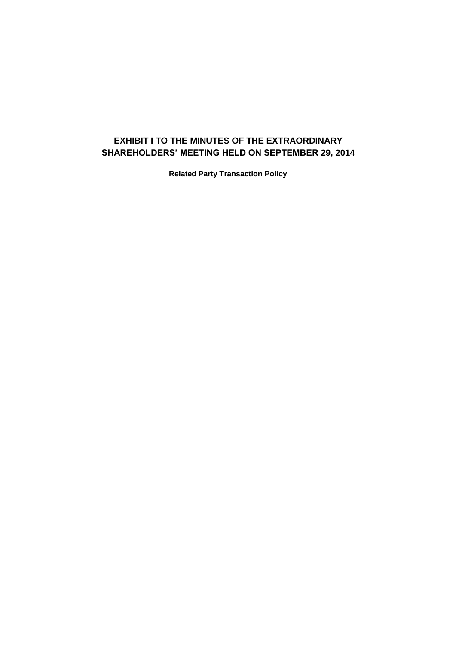## **EXHIBIT I TO THE MINUTES OF THE EXTRAORDINARY SHAREHOLDERS' MEETING HELD ON SEPTEMBER 29, 2014**

**Related Party Transaction Policy**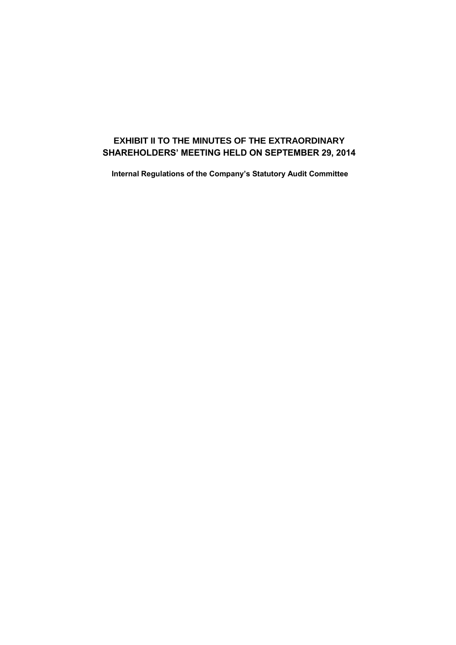# **EXHIBIT II TO THE MINUTES OF THE EXTRAORDINARY SHAREHOLDERS' MEETING HELD ON SEPTEMBER 29, 2014**

**Internal Regulations of the Company's Statutory Audit Committee**